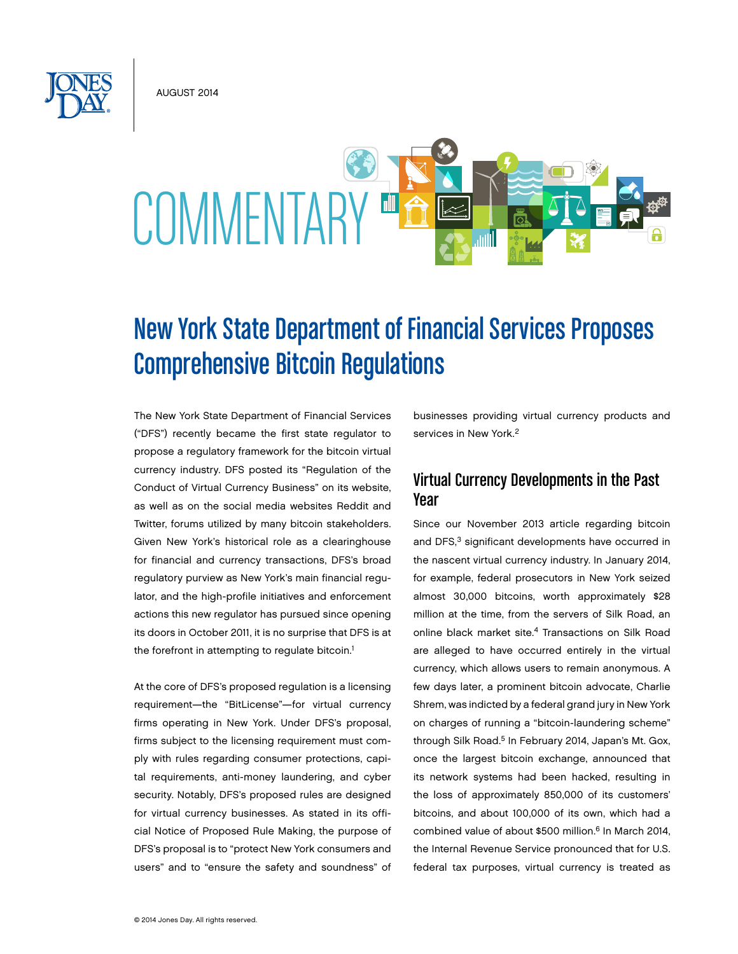August 2014



# New York State Department of Financial Services Proposes Comprehensive Bitcoin Regulations

The New York State Department of Financial Services ("DFS") recently became the first state regulator to propose a regulatory framework for the bitcoin virtual currency industry. DFS posted its "Regulation of the Conduct of Virtual Currency Business" on its website, as well as on the social media websites Reddit and Twitter, forums utilized by many bitcoin stakeholders. Given New York's historical role as a clearinghouse for financial and currency transactions, DFS's broad regulatory purview as New York's main financial regulator, and the high-profile initiatives and enforcement actions this new regulator has pursued since opening its doors in October 2011, it is no surprise that DFS is at the forefront in attempting to regulate bitcoin.<sup>1</sup>

At the core of DFS's proposed regulation is a licensing requirement—the "BitLicense"—for virtual currency firms operating in New York. Under DFS's proposal, firms subject to the licensing requirement must comply with rules regarding consumer protections, capital requirements, anti-money laundering, and cyber security. Notably, DFS's proposed rules are designed for virtual currency businesses. As stated in its official Notice of Proposed Rule Making, the purpose of DFS's proposal is to "protect New York consumers and users" and to "ensure the safety and soundness" of

businesses providing virtual currency products and services in New York.<sup>2</sup>

### Virtual Currency Developments in the Past Year

Since our November 2013 article regarding bitcoin and DFS,<sup>3</sup> significant developments have occurred in the nascent virtual currency industry. In January 2014, for example, federal prosecutors in New York seized almost 30,000 bitcoins, worth approximately \$28 million at the time, from the servers of Silk Road, an online black market site.4 Transactions on Silk Road are alleged to have occurred entirely in the virtual currency, which allows users to remain anonymous. A few days later, a prominent bitcoin advocate, Charlie Shrem, was indicted by a federal grand jury in New York on charges of running a "bitcoin-laundering scheme" through Silk Road.<sup>5</sup> In February 2014, Japan's Mt. Gox, once the largest bitcoin exchange, announced that its network systems had been hacked, resulting in the loss of approximately 850,000 of its customers' bitcoins, and about 100,000 of its own, which had a combined value of about \$500 million.<sup>6</sup> In March 2014, the Internal Revenue Service pronounced that for U.S. federal tax purposes, virtual currency is treated as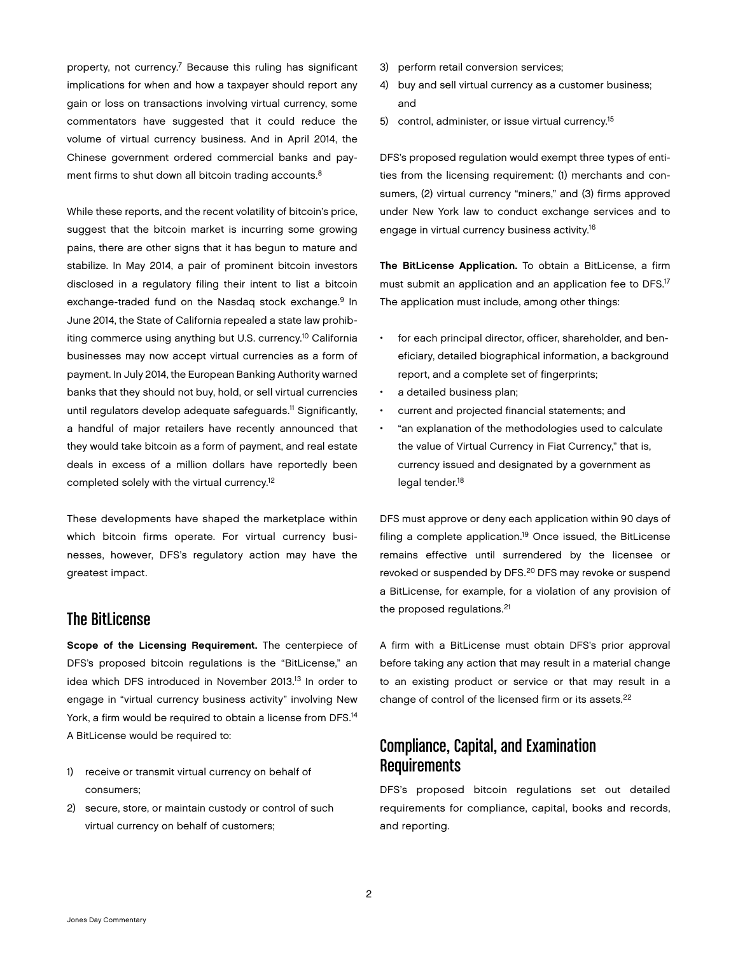property, not currency.7 Because this ruling has significant implications for when and how a taxpayer should report any gain or loss on transactions involving virtual currency, some commentators have suggested that it could reduce the volume of virtual currency business. And in April 2014, the Chinese government ordered commercial banks and payment firms to shut down all bitcoin trading accounts.<sup>8</sup>

While these reports, and the recent volatility of bitcoin's price, suggest that the bitcoin market is incurring some growing pains, there are other signs that it has begun to mature and stabilize. In May 2014, a pair of prominent bitcoin investors disclosed in a regulatory filing their intent to list a bitcoin exchange-traded fund on the Nasdag stock exchange.<sup>9</sup> In June 2014, the State of California repealed a state law prohibiting commerce using anything but U.S. currency.<sup>10</sup> California businesses may now accept virtual currencies as a form of payment. In July 2014, the European Banking Authority warned banks that they should not buy, hold, or sell virtual currencies until regulators develop adequate safeguards.<sup>11</sup> Significantly, a handful of major retailers have recently announced that they would take bitcoin as a form of payment, and real estate deals in excess of a million dollars have reportedly been completed solely with the virtual currency.12

These developments have shaped the marketplace within which bitcoin firms operate. For virtual currency businesses, however, DFS's regulatory action may have the greatest impact.

### The BitLicense

Scope of the Licensing Requirement. The centerpiece of DFS's proposed bitcoin regulations is the "BitLicense," an idea which DFS introduced in November 2013.13 In order to engage in "virtual currency business activity" involving New York, a firm would be required to obtain a license from DFS.<sup>14</sup> A BitLicense would be required to:

- 1) receive or transmit virtual currency on behalf of consumers;
- 2) secure, store, or maintain custody or control of such virtual currency on behalf of customers;
- 3) perform retail conversion services;
- 4) buy and sell virtual currency as a customer business; and
- 5) control, administer, or issue virtual currency.<sup>15</sup>

DFS's proposed regulation would exempt three types of entities from the licensing requirement: (1) merchants and consumers, (2) virtual currency "miners," and (3) firms approved under New York law to conduct exchange services and to engage in virtual currency business activity.<sup>16</sup>

The BitLicense Application. To obtain a BitLicense, a firm must submit an application and an application fee to DFS.<sup>17</sup> The application must include, among other things:

- for each principal director, officer, shareholder, and beneficiary, detailed biographical information, a background report, and a complete set of fingerprints;
- a detailed business plan;
- • current and projected financial statements; and
- • "an explanation of the methodologies used to calculate the value of Virtual Currency in Fiat Currency," that is, currency issued and designated by a government as legal tender.<sup>18</sup>

DFS must approve or deny each application within 90 days of filing a complete application.<sup>19</sup> Once issued, the BitLicense remains effective until surrendered by the licensee or revoked or suspended by DFS.<sup>20</sup> DFS may revoke or suspend a BitLicense, for example, for a violation of any provision of the proposed regulations.<sup>21</sup>

A firm with a BitLicense must obtain DFS's prior approval before taking any action that may result in a material change to an existing product or service or that may result in a change of control of the licensed firm or its assets.<sup>22</sup>

# Compliance, Capital, and Examination Requirements

DFS's proposed bitcoin regulations set out detailed requirements for compliance, capital, books and records, and reporting.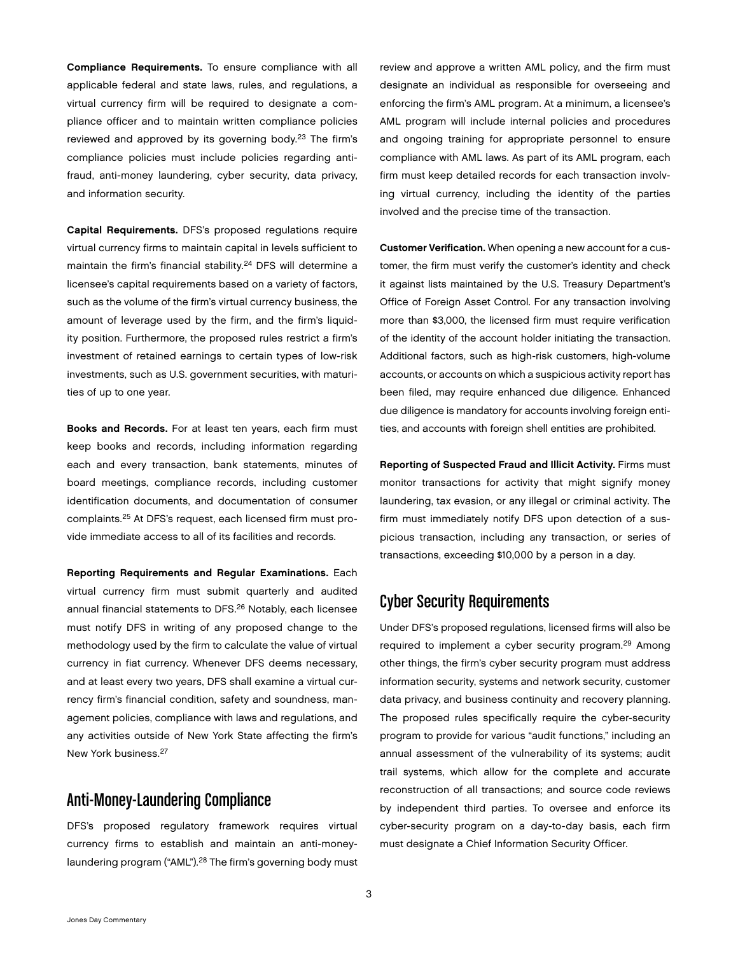Compliance Requirements. To ensure compliance with all applicable federal and state laws, rules, and regulations, a virtual currency firm will be required to designate a compliance officer and to maintain written compliance policies reviewed and approved by its governing body.<sup>23</sup> The firm's compliance policies must include policies regarding antifraud, anti-money laundering, cyber security, data privacy, and information security.

Capital Requirements. DFS's proposed regulations require virtual currency firms to maintain capital in levels sufficient to maintain the firm's financial stability.<sup>24</sup> DFS will determine a licensee's capital requirements based on a variety of factors, such as the volume of the firm's virtual currency business, the amount of leverage used by the firm, and the firm's liquidity position. Furthermore, the proposed rules restrict a firm's investment of retained earnings to certain types of low-risk investments, such as U.S. government securities, with maturities of up to one year.

Books and Records. For at least ten years, each firm must keep books and records, including information regarding each and every transaction, bank statements, minutes of board meetings, compliance records, including customer identification documents, and documentation of consumer complaints.25 At DFS's request, each licensed firm must provide immediate access to all of its facilities and records.

Reporting Requirements and Regular Examinations. Each virtual currency firm must submit quarterly and audited annual financial statements to DFS.26 Notably, each licensee must notify DFS in writing of any proposed change to the methodology used by the firm to calculate the value of virtual currency in fiat currency. Whenever DFS deems necessary, and at least every two years, DFS shall examine a virtual currency firm's financial condition, safety and soundness, management policies, compliance with laws and regulations, and any activities outside of New York State affecting the firm's New York business.27

# Anti-Money-Laundering Compliance

DFS's proposed regulatory framework requires virtual currency firms to establish and maintain an anti-moneylaundering program ("AML").<sup>28</sup> The firm's governing body must

review and approve a written AML policy, and the firm must designate an individual as responsible for overseeing and enforcing the firm's AML program. At a minimum, a licensee's AML program will include internal policies and procedures and ongoing training for appropriate personnel to ensure compliance with AML laws. As part of its AML program, each firm must keep detailed records for each transaction involving virtual currency, including the identity of the parties involved and the precise time of the transaction.

Customer Verification. When opening a new account for a customer, the firm must verify the customer's identity and check it against lists maintained by the U.S. Treasury Department's Office of Foreign Asset Control. For any transaction involving more than \$3,000, the licensed firm must require verification of the identity of the account holder initiating the transaction. Additional factors, such as high-risk customers, high-volume accounts, or accounts on which a suspicious activity report has been filed, may require enhanced due diligence. Enhanced due diligence is mandatory for accounts involving foreign entities, and accounts with foreign shell entities are prohibited.

Reporting of Suspected Fraud and Illicit Activity. Firms must monitor transactions for activity that might signify money laundering, tax evasion, or any illegal or criminal activity. The firm must immediately notify DFS upon detection of a suspicious transaction, including any transaction, or series of transactions, exceeding \$10,000 by a person in a day.

### Cyber Security Requirements

Under DFS's proposed regulations, licensed firms will also be required to implement a cyber security program.<sup>29</sup> Among other things, the firm's cyber security program must address information security, systems and network security, customer data privacy, and business continuity and recovery planning. The proposed rules specifically require the cyber-security program to provide for various "audit functions," including an annual assessment of the vulnerability of its systems; audit trail systems, which allow for the complete and accurate reconstruction of all transactions; and source code reviews by independent third parties. To oversee and enforce its cyber-security program on a day-to-day basis, each firm must designate a Chief Information Security Officer.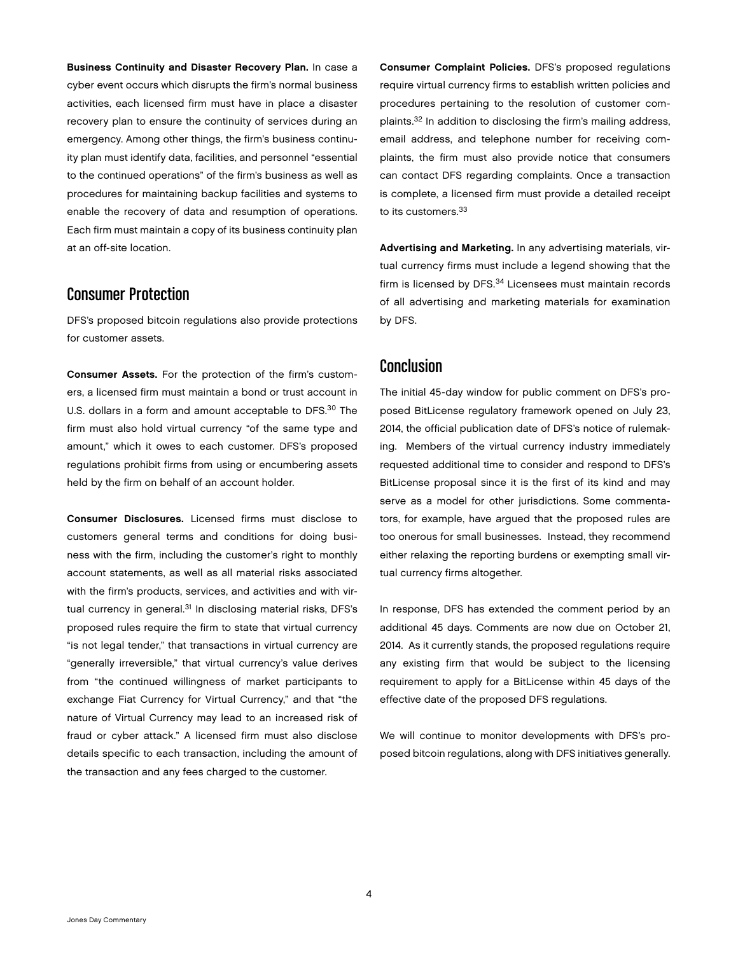Business Continuity and Disaster Recovery Plan. In case a cyber event occurs which disrupts the firm's normal business activities, each licensed firm must have in place a disaster recovery plan to ensure the continuity of services during an emergency. Among other things, the firm's business continuity plan must identify data, facilities, and personnel "essential to the continued operations" of the firm's business as well as procedures for maintaining backup facilities and systems to enable the recovery of data and resumption of operations. Each firm must maintain a copy of its business continuity plan at an off-site location.

### Consumer Protection

DFS's proposed bitcoin regulations also provide protections for customer assets.

Consumer Assets. For the protection of the firm's customers, a licensed firm must maintain a bond or trust account in U.S. dollars in a form and amount acceptable to DFS.<sup>30</sup> The firm must also hold virtual currency "of the same type and amount," which it owes to each customer. DFS's proposed regulations prohibit firms from using or encumbering assets held by the firm on behalf of an account holder.

Consumer Disclosures. Licensed firms must disclose to customers general terms and conditions for doing business with the firm, including the customer's right to monthly account statements, as well as all material risks associated with the firm's products, services, and activities and with virtual currency in general.<sup>31</sup> In disclosing material risks, DFS's proposed rules require the firm to state that virtual currency "is not legal tender," that transactions in virtual currency are "generally irreversible," that virtual currency's value derives from "the continued willingness of market participants to exchange Fiat Currency for Virtual Currency," and that "the nature of Virtual Currency may lead to an increased risk of fraud or cyber attack." A licensed firm must also disclose details specific to each transaction, including the amount of the transaction and any fees charged to the customer.

Consumer Complaint Policies. DFS's proposed regulations require virtual currency firms to establish written policies and procedures pertaining to the resolution of customer complaints.32 In addition to disclosing the firm's mailing address, email address, and telephone number for receiving complaints, the firm must also provide notice that consumers can contact DFS regarding complaints. Once a transaction is complete, a licensed firm must provide a detailed receipt to its customers.<sup>33</sup>

Advertising and Marketing. In any advertising materials, virtual currency firms must include a legend showing that the firm is licensed by DFS.<sup>34</sup> Licensees must maintain records of all advertising and marketing materials for examination by DFS.

### Conclusion

The initial 45-day window for public comment on DFS's proposed BitLicense regulatory framework opened on July 23, 2014, the official publication date of DFS's notice of rulemaking. Members of the virtual currency industry immediately requested additional time to consider and respond to DFS's BitLicense proposal since it is the first of its kind and may serve as a model for other jurisdictions. Some commentators, for example, have argued that the proposed rules are too onerous for small businesses. Instead, they recommend either relaxing the reporting burdens or exempting small virtual currency firms altogether.

In response, DFS has extended the comment period by an additional 45 days. Comments are now due on October 21, 2014. As it currently stands, the proposed regulations require any existing firm that would be subject to the licensing requirement to apply for a BitLicense within 45 days of the effective date of the proposed DFS regulations.

We will continue to monitor developments with DFS's proposed bitcoin regulations, along with DFS initiatives generally.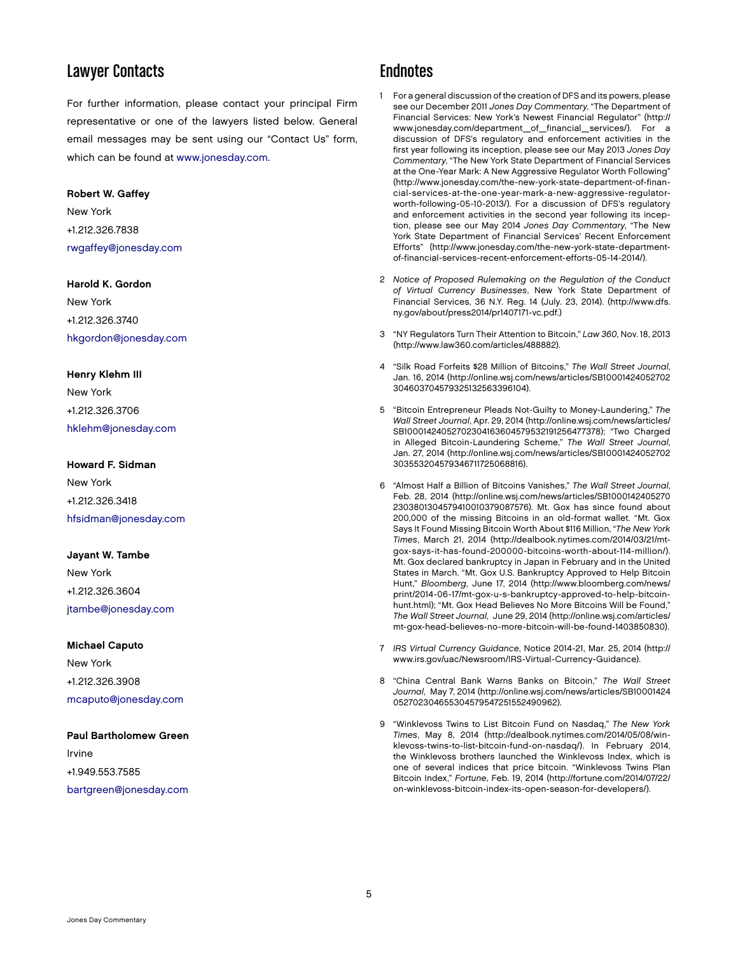# Lawyer Contacts

For further information, please contact your principal Firm representative or one of the lawyers listed below. General email messages may be sent using our "Contact Us" form, which can be found at [www.jonesday.com.](www.jonesday.com)

#### Robert W. Gaffey

New York +1.212.326.7838 [rwgaffey@jonesday.com](mailto:rwgaffey@jonesday.com)

#### Harold K. Gordon

New York +1.212.326.3740 [hkgordon@jonesday.com](mailto:hkgordon@jonesday.com)

#### Henry Klehm III

New York +1.212.326.3706 [hklehm@jonesday.com](mailto:hklehm@jonesday.com)

#### Howard F. Sidman

New York +1.212.326.3418 [hfsidman@jonesday.com](mailto:hsidman@jonesday.com)

#### Jayant W. Tambe

New York +1.212.326.3604 [jtambe@jonesday.com](mailto:jtambe@jonesday.com)

#### Michael Caputo

New York +1.212.326.3908 [mcaputo@jonesday.com](mailto:mcaputo@jonesday.com)

#### Paul Bartholomew Green

Irvine +1.949.553.7585 [bartgreen@jonesday.com](mailto:bartgreen@jonesday.com)

### **Endnotes**

- 1 For a general discussion of the creation of DFS and its powers, please see our December 2011 *Jones Day Commentary*, "The Department of Financial Services: New York's Newest Financial Regulator" (http:// www.jonesday.com/department\_of\_financial\_services/). For a discussion of DFS's regulatory and enforcement activities in the first year following its inception, please see our May 2013 *Jones Day Commentary*, "The New York State Department of Financial Services at the One-Year Mark: A New Aggressive Regulator Worth Following" (http://www.jonesday.com/the-new-york-state-department-of-financial-services-at-the-one-year-mark-a-new-aggressive-regulatorworth-following-05-10-2013/). For a discussion of DFS's regulatory and enforcement activities in the second year following its inception, please see our May 2014 *Jones Day Commentary*, "The New York State Department of Financial Services' Recent Enforcement Efforts" (http://www.jonesday.com/the-new-york-state-departmentof-financial-services-recent-enforcement-efforts-05-14-2014/).
- 2 *Notice of Proposed Rulemaking on the Regulation of the Conduct of Virtual Currency Businesses*, New York State Department of Financial Services, 36 N.Y. Reg. 14 (July. 23, 2014). (http://www.dfs. ny.gov/about/press2014/pr1407171-vc.pdf.)
- 3 "NY Regulators Turn Their Attention to Bitcoin," *Law 360*, Nov. 18, 2013 (http://www.law360.com/articles/488882).
- 4 "Silk Road Forfeits \$28 Million of Bitcoins," *The Wall Street Journal*, Jan. 16, 2014 (http://online.wsj.com/news/articles/SB10001424052702 304603704579325132563396104).
- 5 "Bitcoin Entrepreneur Pleads Not-Guilty to Money-Laundering," *The Wall Street Journal*, Apr. 29, 2014 (http://online.wsj.com/news/articles/ SB10001424052702304163604579532191256477378); "Two Charged in Alleged Bitcoin-Laundering Scheme," *The Wall Street Journal*, Jan. 27, 2014 (http://online.wsj.com/news/articles/SB10001424052702 303553204579346711725068816).
- 6 "Almost Half a Billion of Bitcoins Vanishes," *The Wall Street Journal*, Feb. 28, 2014 (http://online.wsj.com/news/articles/SB1000142405270 2303801304579410010379087576). Mt. Gox has since found about 200,000 of the missing Bitcoins in an old-format wallet. "Mt. Gox Says It Found Missing Bitcoin Worth About \$116 Million, "*The New York Times*, March 21, 2014 (http://dealbook.nytimes.com/2014/03/21/mtgox-says-it-has-found-200000-bitcoins-worth-about-114-million/). Mt. Gox declared bankruptcy in Japan in February and in the United States in March. "Mt. Gox U.S. Bankruptcy Approved to Help Bitcoin Hunt," *Bloomberg*, June 17, 2014 (http://www.bloomberg.com/news/ print/2014-06-17/mt-gox-u-s-bankruptcy-approved-to-help-bitcoinhunt.html); "Mt. Gox Head Believes No More Bitcoins Will be Found," *The Wall Street Journal*, June 29, 2014 (http://online.wsj.com/articles/ mt-gox-head-believes-no-more-bitcoin-will-be-found-1403850830).
- 7 *IRS Virtual Currency Guidance*, Notice 2014-21, Mar. 25, 2014 (http:// www.irs.gov/uac/Newsroom/IRS-Virtual-Currency-Guidance).
- 8 "China Central Bank Warns Banks on Bitcoin," *The Wall Street Journal*, May 7, 2014 (http://online.wsj.com/news/articles/SB10001424 052702304655304579547251552490962).
- 9 "Winklevoss Twins to List Bitcoin Fund on Nasdaq," *The New York Times*, May 8, 2014 (http://dealbook.nytimes.com/2014/05/08/winklevoss-twins-to-list-bitcoin-fund-on-nasdaq/). In February 2014, the Winklevoss brothers launched the Winklevoss Index, which is one of several indices that price bitcoin. "Winklevoss Twins Plan Bitcoin Index," *Fortune*, Feb. 19, 2014 (http://fortune.com/2014/07/22/ on-winklevoss-bitcoin-index-its-open-season-for-developers/).